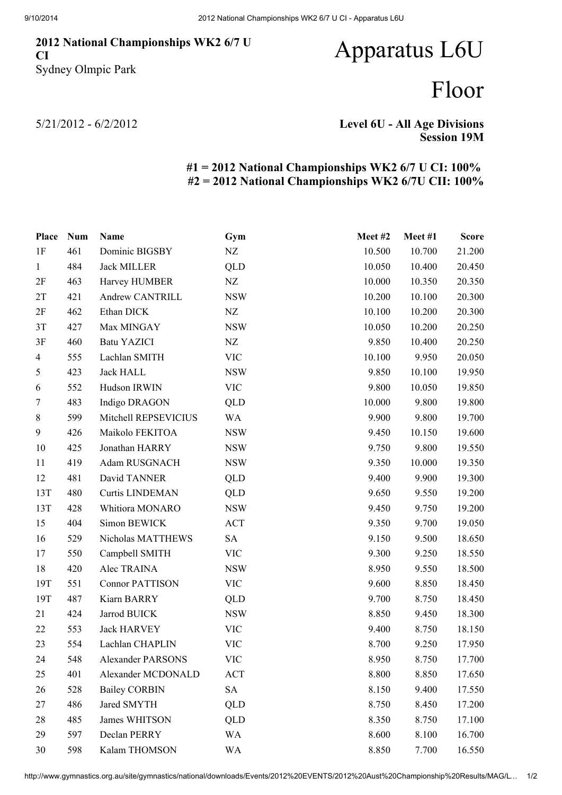### 2012 National Championships WK2 6/7 U CI Sydney Olmpic Park

# Apparatus L6U

## Floor

5/21/2012 - 6/2/2012

### Level 6U - All Age Divisions Session 19M

### #1 = 2012 National Championships WK2 6/7 U CI: 100% #2 = 2012 National Championships WK2 6/7U CII: 100%

| Place          | <b>Num</b> | Name                     | Gym        | Meet #2 | Meet#1 | <b>Score</b> |
|----------------|------------|--------------------------|------------|---------|--------|--------------|
| 1F             | 461        | Dominic BIGSBY           | NZ         | 10.500  | 10.700 | 21.200       |
| $\mathbf{1}$   | 484        | <b>Jack MILLER</b>       | QLD        | 10.050  | 10.400 | 20.450       |
| 2F             | 463        | Harvey HUMBER            | NZ         | 10.000  | 10.350 | 20.350       |
| 2T             | 421        | <b>Andrew CANTRILL</b>   | <b>NSW</b> | 10.200  | 10.100 | 20.300       |
| 2F             | 462        | Ethan DICK               | NZ         | 10.100  | 10.200 | 20.300       |
| 3T             | 427        | Max MINGAY               | <b>NSW</b> | 10.050  | 10.200 | 20.250       |
| 3F             | 460        | <b>Batu YAZICI</b>       | NZ         | 9.850   | 10.400 | 20.250       |
| $\overline{4}$ | 555        | Lachlan SMITH            | <b>VIC</b> | 10.100  | 9.950  | 20.050       |
| 5              | 423        | <b>Jack HALL</b>         | <b>NSW</b> | 9.850   | 10.100 | 19.950       |
| 6              | 552        | Hudson IRWIN             | <b>VIC</b> | 9.800   | 10.050 | 19.850       |
| $\tau$         | 483        | Indigo DRAGON            | QLD        | 10.000  | 9.800  | 19.800       |
| 8              | 599        | Mitchell REPSEVICIUS     | WA         | 9.900   | 9.800  | 19.700       |
| 9              | 426        | Maikolo FEKITOA          | <b>NSW</b> | 9.450   | 10.150 | 19.600       |
| 10             | 425        | Jonathan HARRY           | <b>NSW</b> | 9.750   | 9.800  | 19.550       |
| 11             | 419        | Adam RUSGNACH            | <b>NSW</b> | 9.350   | 10.000 | 19.350       |
| 12             | 481        | David TANNER             | QLD        | 9.400   | 9.900  | 19.300       |
| 13T            | 480        | <b>Curtis LINDEMAN</b>   | QLD        | 9.650   | 9.550  | 19.200       |
| 13T            | 428        | Whitiora MONARO          | <b>NSW</b> | 9.450   | 9.750  | 19.200       |
| 15             | 404        | Simon BEWICK             | <b>ACT</b> | 9.350   | 9.700  | 19.050       |
| 16             | 529        | Nicholas MATTHEWS        | <b>SA</b>  | 9.150   | 9.500  | 18.650       |
| 17             | 550        | Campbell SMITH           | VIC        | 9.300   | 9.250  | 18.550       |
| 18             | 420        | Alec TRAINA              | <b>NSW</b> | 8.950   | 9.550  | 18.500       |
| 19T            | 551        | <b>Connor PATTISON</b>   | <b>VIC</b> | 9.600   | 8.850  | 18.450       |
| 19T            | 487        | Kiarn BARRY              | QLD        | 9.700   | 8.750  | 18.450       |
| 21             | 424        | Jarrod BUICK             | <b>NSW</b> | 8.850   | 9.450  | 18.300       |
| 22             | 553        | <b>Jack HARVEY</b>       | <b>VIC</b> | 9.400   | 8.750  | 18.150       |
| 23             | 554        | Lachlan CHAPLIN          | <b>VIC</b> | 8.700   | 9.250  | 17.950       |
| 24             | 548        | <b>Alexander PARSONS</b> | <b>VIC</b> | 8.950   | 8.750  | 17.700       |
| 25             | 401        | Alexander MCDONALD       | <b>ACT</b> | 8.800   | 8.850  | 17.650       |
| 26             | 528        | <b>Bailey CORBIN</b>     | <b>SA</b>  | 8.150   | 9.400  | 17.550       |
| 27             | 486        | Jared SMYTH              | QLD        | 8.750   | 8.450  | 17.200       |
| 28             | 485        | James WHITSON            | QLD        | 8.350   | 8.750  | 17.100       |
| 29             | 597        | Declan PERRY             | <b>WA</b>  | 8.600   | 8.100  | 16.700       |
| 30             | 598        | Kalam THOMSON            | WA         | 8.850   | 7.700  | 16.550       |